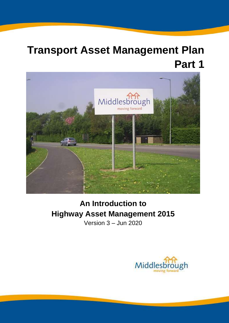# **Transport Asset Management Plan Part 1**



# **An Introduction to Highway Asset Management 2015**

Version 3 – Jun 2020

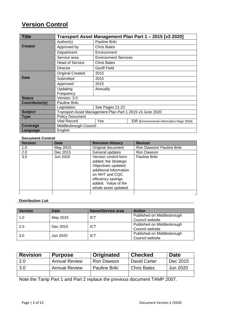# **Version Control**

| <b>Title</b>   |                                                          |                             | Transport Asset Management Plan Part 1 - 2015 [v3 2020] |
|----------------|----------------------------------------------------------|-----------------------------|---------------------------------------------------------|
|                | Author(s)                                                | Pauline Briki               |                                                         |
| <b>Creator</b> | Approved by                                              | <b>Chris Bates</b>          |                                                         |
|                | Department                                               | Environment                 |                                                         |
|                | Service area                                             | <b>Environment Services</b> |                                                         |
|                | <b>Head of Service</b>                                   | <b>Chris Bates</b>          |                                                         |
|                | Director                                                 | <b>Geoff Field</b>          |                                                         |
|                | <b>Original Created</b>                                  | 2015                        |                                                         |
| <b>Date</b>    | Submitted                                                | 2015                        |                                                         |
|                | Approved                                                 | 2015                        |                                                         |
|                | Updating                                                 | Annually                    |                                                         |
|                | Frequency                                                |                             |                                                         |
| <b>Status</b>  | Version: 3.0                                             |                             |                                                         |
| Contributor(s) | Pauline Briki                                            |                             |                                                         |
|                | Legislation                                              | See Pages 21-22             |                                                         |
| <b>Subject</b> | Transport Asset Management Plan Part 1 2015 v3 June 2020 |                             |                                                         |
| <b>Type</b>    | <b>Policy Document</b>                                   |                             |                                                         |
|                | <b>Vital Record</b>                                      | Yes                         | EIR [Environmental Information Regs 2004]               |
| Coverage       | Middlesbrough Council                                    |                             |                                                         |
| Language       | English                                                  |                             |                                                         |

#### **Document Control**

| <b>Version</b> | <b>Date</b> | <b>Revision History</b>                                                                                                                                                              | <b>Reviser</b>            |
|----------------|-------------|--------------------------------------------------------------------------------------------------------------------------------------------------------------------------------------|---------------------------|
| 1.0            | May 2015    | Original document                                                                                                                                                                    | Ron Dawson/ Pauline Briki |
| 2.0            | Dec 2015    | General updates                                                                                                                                                                      | Ron Dawson                |
| 3.0            | Jun 2020    | Version control form<br>added; the Strategic<br>Objectives updated;<br>additional information<br>on NHT and CQC<br>efficiency savings<br>added. Value of the<br>whole asset updated. | Pauline Briki             |
|                |             |                                                                                                                                                                                      |                           |

#### **Distribution List**

| <b>Version</b> | <b>Date</b> | <b>Name/Service area</b> | <b>Action</b>              |
|----------------|-------------|--------------------------|----------------------------|
| 1.0            | May 2015    | ICT                      | Published on Middlesbrough |
|                |             |                          | Council website            |
| 2.0            | Dec 2015    | ICT                      | Published on Middlesbrough |
|                |             |                          | Council website            |
| 3.0            | Jun 2020    | ICT                      | Published on Middlesbrough |
|                |             |                          | Council website            |

| <b>Revision</b> | <b>Purpose</b>       | Originated           | <b>Checked</b>     | <b>Date</b> |
|-----------------|----------------------|----------------------|--------------------|-------------|
| 2.0             | <b>Annual Review</b> | Ron Dawson           | David Carter       | Dec 2015    |
| 3.0             | <b>Annual Review</b> | <b>Pauline Briki</b> | <b>Chris Bates</b> | Jun 2020    |
|                 |                      |                      |                    |             |

Note the Tamp Part 1 and Part 2 replace the previous document TAMP 2007.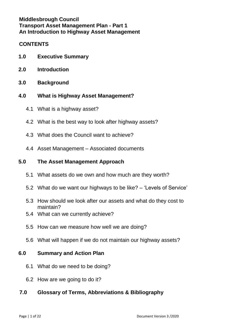## **Middlesbrough Council Transport Asset Management Plan - Part 1 An Introduction to Highway Asset Management**

#### **CONTENTS**

- **1.0 Executive Summary**
- **2.0 Introduction**
- **3.0 Background**
- **4.0 What is Highway Asset Management?**
	- 4.1 What is a highway asset?
	- 4.2 What is the best way to look after highway assets?
	- 4.3 What does the Council want to achieve?
	- 4.4 Asset Management Associated documents

## **5.0 The Asset Management Approach**

- 5.1 What assets do we own and how much are they worth?
- 5.2 What do we want our highways to be like? 'Levels of Service'
- 5.3 How should we look after our assets and what do they cost to maintain?
- 5.4 What can we currently achieve?
- 5.5 How can we measure how well we are doing?
- 5.6 What will happen if we do not maintain our highway assets?

## **6.0 Summary and Action Plan**

- 6.1 What do we need to be doing?
- 6.2 How are we going to do it?

## **7.0 Glossary of Terms, Abbreviations & Bibliography**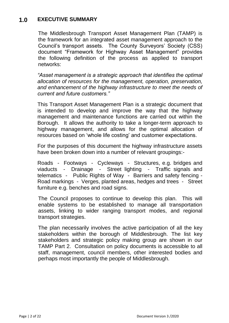## **1.0 EXECUTIVE SUMMARY**

The Middlesbrough Transport Asset Management Plan (TAMP) is the framework for an integrated asset management approach to the Council's transport assets. The County Surveyors' Society (CSS) document "Framework for Highway Asset Management" provides the following definition of the process as applied to transport networks:

*"Asset management is a strategic approach that identifies the optimal allocation of resources for the management, operation, preservation, and enhancement of the highway infrastructure to meet the needs of current and future customers."*

This Transport Asset Management Plan is a strategic document that is intended to develop and improve the way that the highway management and maintenance functions are carried out within the Borough. It allows the authority to take a longer-term approach to highway management, and allows for the optimal allocation of resources based on 'whole life costing' and customer expectations.

For the purposes of this document the highway infrastructure assets have been broken down into a number of relevant groupings:-

Roads - Footways - Cycleways - Structures, e.g. bridges and viaducts - Drainage - Street lighting - Traffic signals and telematics - Public Rights of Way - Barriers and safety fencing - Road markings - Verges, planted areas, hedges and trees - Street furniture e.g. benches and road signs.

The Council proposes to continue to develop this plan. This will enable systems to be established to manage all transportation assets, linking to wider ranging transport modes, and regional transport strategies.

The plan necessarily involves the active participation of all the key stakeholders within the borough of Middlesbrough. The list key stakeholders and strategic policy making group are shown in our TAMP Part 2. Consultation on policy documents is accessible to all staff, management, council members, other interested bodies and perhaps most importantly the people of Middlesbrough.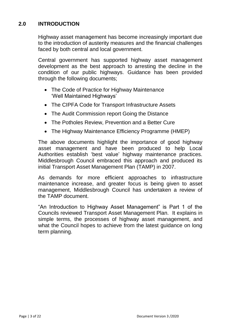## **2.0 INTRODUCTION**

Highway asset management has become increasingly important due to the introduction of austerity measures and the financial challenges faced by both central and local government.

Central government has supported highway asset management development as the best approach to arresting the decline in the condition of our public highways. Guidance has been provided through the following documents;

- The Code of Practice for Highway Maintenance 'Well Maintained Highways'
- The CIPFA Code for Transport Infrastructure Assets
- The Audit Commission report Going the Distance
- The Potholes Review, Prevention and a Better Cure
- The Highway Maintenance Efficiency Programme (HMEP)

The above documents highlight the importance of good highway asset management and have been produced to help Local Authorities establish 'best value' highway maintenance practices. Middlesbrough Council embraced this approach and produced its initial Transport Asset Management Plan (TAMP) in 2007.

As demands for more efficient approaches to infrastructure maintenance increase, and greater focus is being given to asset management, Middlesbrough Council has undertaken a review of the TAMP document.

"An Introduction to Highway Asset Management" is Part 1 of the Councils reviewed Transport Asset Management Plan. It explains in simple terms, the processes of highway asset management, and what the Council hopes to achieve from the latest guidance on long term planning.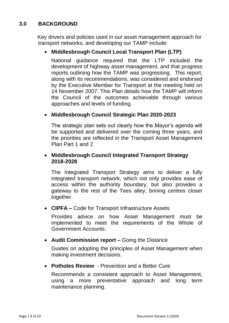## **3.0 BACKGROUND**

Key drivers and policies used in our asset management approach for transport networks, and developing our TAMP include:

## **Middlesbrough Council Local Transport Plan (LTP)**

National guidance required that the LTP included the development of highway asset management, and that progress reports outlining how the TAMP was progressing. This report, along with its recommendations, was considered and endorsed by the Executive Member for Transport at the meeting held on 14 November 2007. This Plan details how the TAMP will inform the Council of the outcomes achievable through various approaches and levels of funding.

#### **Middlesbrough Council Strategic Plan 2020-2023**

The strategic plan sets out clearly how the Mayor's agenda will be supported and delivered over the coming three years, and the priorities are reflected in the Transport Asset Management Plan Part 1 and 2

#### **Middlesbrough Council Integrated Transport Strategy 2018-2028**

The Integrated Transport Strategy aims to deliver a fully integrated transport network, which not only provides ease of access within the authority boundary, but also provides a gateway to the rest of the Tees alley; brining centres closer together.

**CIPFA –** Code for Transport Infrastructure Assets

Provides advice on how Asset Management must be implemented to meet the requirements of the Whole of Government Accounts.

**Audit Commission report –** Going the Distance

Guides on adopting the principles of Asset Management when making investment decisions.

**Potholes Review** - Prevention and a Better Cure

Recommends a consistent approach to Asset Management, using a more preventative approach and long term maintenance planning.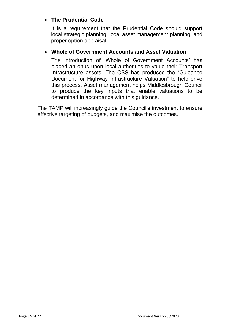## **The Prudential Code**

It is a requirement that the Prudential Code should support local strategic planning, local asset management planning, and proper option appraisal.

#### **Whole of Government Accounts and Asset Valuation**

The introduction of 'Whole of Government Accounts' has placed an onus upon local authorities to value their Transport Infrastructure assets. The CSS has produced the "Guidance Document for Highway Infrastructure Valuation" to help drive this process. Asset management helps Middlesbrough Council to produce the key inputs that enable valuations to be determined in accordance with this guidance.

The TAMP will increasingly guide the Council's investment to ensure effective targeting of budgets, and maximise the outcomes.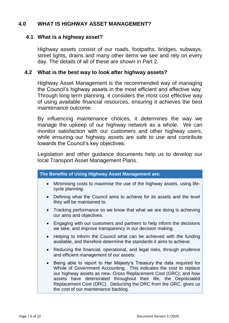## **4.0 WHAT IS HIGHWAY ASSET MANAGEMENT?**

#### **4.1 What is a highway asset?**

Highway assets consist of our roads, footpaths, bridges, subways, street lights, drains and many other items we see and rely on every day. The details of all of these are shown in Part 2.

#### **4.2 What is the best way to look after highway assets?**

Highway Asset Management is the recommended way of managing the Council's highway assets in the most efficient and effective way. Through long term planning, it considers the most cost effective way of using available financial resources, ensuring it achieves the best maintenance outcome.

By influencing maintenance choices, it determines the way we manage the upkeep of our highway network as a whole. We can monitor satisfaction with our customers and other highway users, while ensuring our highway assets are safe to use and contribute towards the Council's key objectives.

Legislation and other guidance documents help us to develop our local Transport Asset Management Plans.

| The Benefits of Using Highway Asset Management are:                                                                                                                                                                                                                                                                                                                                           |
|-----------------------------------------------------------------------------------------------------------------------------------------------------------------------------------------------------------------------------------------------------------------------------------------------------------------------------------------------------------------------------------------------|
| Minimising costs to maximise the use of the highway assets, using life-<br>cycle planning.                                                                                                                                                                                                                                                                                                    |
| Defining what the Council aims to achieve for its assets and the level<br>they will be maintained to.                                                                                                                                                                                                                                                                                         |
| Tracking performance so we know that what we are doing is achieving<br>our aims and objectives.                                                                                                                                                                                                                                                                                               |
| Engaging with our customers and partners to help inform the decisions<br>we take, and improve transparency in our decision making.                                                                                                                                                                                                                                                            |
| Helping to inform the Council what can be achieved with the funding<br>available, and therefore determine the standards it aims to achieve.                                                                                                                                                                                                                                                   |
| Reducing the financial, operational, and legal risks, through prudence<br>and efficient management of our assets.                                                                                                                                                                                                                                                                             |
| Being able to report to Her Majesty's Treasury the data required for<br>Whole of Government Accounting. This indicates the cost to replace<br>our highway assets as new, Gross Replacement Cost (GRC); and how<br>assets have deteriorated throughout their life, the Depreciated<br>Replacement Cost (DRC). Deducting the DRC from the GRC, gives us<br>the cost of our maintenance backlog. |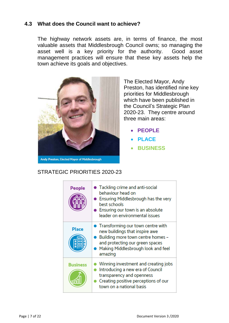#### **4.3 What does the Council want to achieve?**

The highway network assets are, in terms of finance, the most valuable assets that Middlesbrough Council owns; so managing the asset well is a key priority for the authority. Good asset management practices will ensure that these key assets help the town achieve its goals and objectives.



The Elected Mayor, Andy Preston, has identified nine key priorities for Middlesbrough which have been published in the Council's Strategic Plan 2020-23. They centre around three main areas:

- **PEOPLE**
- **PLACE**
- **BUSINESS**

#### STRATEGIC PRIORITIES 2020-23

| People          | • Tackling crime and anti-social<br>behaviour head on<br>Ensuring Middlesbrough has the very<br>best schools<br>Ensuring our town is an absolute<br>leader on environmental issues             |
|-----------------|------------------------------------------------------------------------------------------------------------------------------------------------------------------------------------------------|
| <b>Place</b>    | • Transforming our town centre with<br>new buildings that inspire awe<br>Building more town centre homes -<br>and protecting our green spaces<br>Making Middlesbrough look and feel<br>amazing |
| <b>Business</b> | Winning investment and creating jobs<br>Introducing a new era of Council<br>transparency and openness<br>Creating positive perceptions of our<br>town on a national basis                      |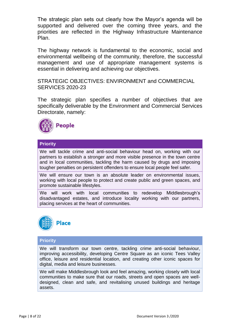The strategic plan sets out clearly how the Mayor's agenda will be supported and delivered over the coming three years, and the priorities are reflected in the Highway Infrastructure Maintenance Plan.

The highway network is fundamental to the economic, social and environmental wellbeing of the community, therefore, the successful management and use of appropriate management systems is essential in delivering and achieving our objectives.

STRATEGIC OBJECTIVES: ENVIRONMENT and COMMERCIAL SERVICES 2020-23

The strategic plan specifies a number of objectives that are specifically deliverable by the Environment and Commercial Services Directorate, namely:



#### **Priority**

We will tackle crime and anti-social behaviour head on, working with our partners to establish a stronger and more visible presence in the town centre and in local communities, tackling the harm caused by drugs and imposing tougher penalties on persistent offenders to ensure local people feel safer.

We will ensure our town is an absolute leader on environmental issues, working with local people to protect and create public and green spaces, and promote sustainable lifestyles.

We will work with local communities to redevelop Middlesbrough's disadvantaged estates, and introduce locality working with our partners, placing services at the heart of communities.



#### **Priority**

We will transform our town centre, tackling crime anti-social behaviour, improving accessibility, developing Centre Square as an iconic Tees Valley office, leisure and residential location, and creating other iconic spaces for digital, media and leisure businesses.

We will make Middlesbrough look and feel amazing, working closely with local communities to make sure that our roads, streets and open spaces are welldesigned, clean and safe, and revitalising unused buildings and heritage assets.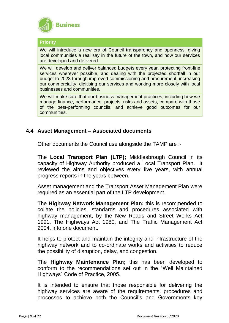

#### **Priority**

We will introduce a new era of Council transparency and openness, giving local communities a real say in the future of the town, and how our services are developed and delivered.

We will develop and deliver balanced budgets every year, protecting front-line services wherever possible, and dealing with the projected shortfall in our budget to 2023 through improved commissioning and procurement, increasing our commerciality, digitising our services and working more closely with local businesses and communities.

We will make sure that our business management practices, including how we manage finance, performance, projects, risks and assets, compare with those of the best-performing councils, and achieve good outcomes for our communities.

#### **4.4 Asset Management – Associated documents**

Other documents the Council use alongside the TAMP are :-

The **Local Transport Plan (LTP);** Middlesbrough Council in its capacity of Highway Authority produced a Local Transport Plan. It reviewed the aims and objectives every five years, with annual progress reports in the years between.

Asset management and the Transport Asset Management Plan were required as an essential part of the LTP development.

The **Highway Network Management Plan;** this is recommended to collate the policies, standards and procedures associated with highway management, by the New Roads and Street Works Act 1991, The Highways Act 1980, and The Traffic Management Act 2004, into one document.

It helps to protect and maintain the integrity and infrastructure of the highway network and to co-ordinate works and activities to reduce the possibility of disruption, delay, and congestion.

The **Highway Maintenance Plan;** this has been developed to conform to the recommendations set out in the "Well Maintained Highways" Code of Practice, 2005.

It is intended to ensure that those responsible for delivering the highway services are aware of the requirements, procedures and processes to achieve both the Council's and Governments key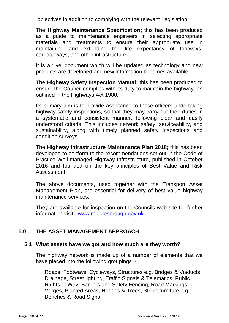objectives in addition to complying with the relevant Legislation.

The **Highway Maintenance Specification;** this has been produced as a guide to maintenance engineers in selecting appropriate materials and treatments to ensure their appropriate use in maintaining and extending the life expectancy of footways, carriageways, and other infrastructure.

It is a 'live' document which will be updated as technology and new products are developed and new information becomes available.

The **Highway Safety Inspection Manual;** this has been produced to ensure the Council complies with its duty to maintain the highway, as outlined in the Highways Act 1980.

Its primary aim is to provide assistance to those officers undertaking highway safety inspections, so that they may carry out their duties in a systematic and consistent manner, following clear and easily understood criteria. This includes network safety, serviceability, and sustainability, along with timely planned safety inspections and condition surveys.

The **Highway Infrastructure Maintenance Plan 2018;** this has been developed to conform to the recommendations set out in the Code of Practice Well-managed Highway Infrastructure, published in October 2016 and founded on the key principles of Best Value and Risk Assessment.

The above documents, used together with the Transport Asset Management Plan, are essential for delivery of best value highway maintenance services.

They are available for inspection on the Councils web site for further information visit: [www.middlesbrough.gov.uk](http://www.middlesbrough.gov.uk/)

## **5.0 THE ASSET MANAGEMENT APPROACH**

#### **5.1 What assets have we got and how much are they worth?**

The highway network is made up of a number of elements that we have placed into the following groupings :-

Roads, Footways, Cycleways, Structures e.g. Bridges & Viaducts, Drainage, Street lighting, Traffic Signals & Telematics, Public Rights of Way, Barriers and Safety Fencing, Road Markings, Verges, Planted Areas, Hedges & Trees, Street furniture e.g. Benches & Road Signs.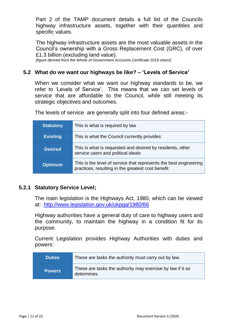Part 2 of the TAMP document details a full list of the Councils highway infrastructure assets, together with their quantities and specific values.

The highway infrastructure assets are the most valuable assets in the Council's ownership with a Gross Replacement Cost (GRC), of over £1.3 billion (excluding land value).

*[figure derived from the Whole of Government Accounts Certificate 2019 return]*

#### **5.2 What do we want our highways be like? – 'Levels of Service'**

When we consider what we want our highway standards to be, we refer to 'Levels of Service'. This means that we can set levels of service that are affordable to the Council, while still meeting its strategic objectives and outcomes.

The levels of service are generally split into four defined areas:-

| <b>Statutory</b> | This is what is required by law                                                                                        |
|------------------|------------------------------------------------------------------------------------------------------------------------|
| Existing         | This is what the Council currently provides                                                                            |
| <b>Desired</b>   | This is what is requested and desired by residents, other<br>service users and political ideals                        |
| <b>Optimum</b>   | This is the level of service that represents the best engineering<br>practices, resulting in the greatest cost benefit |

#### **5.2.1 Statutory Service Level;**

The main legislation is the Highways Act, 1980, which can be viewed at: <http://www.legislation.gov.uk/ukpga/1980/66>

Highway authorities have a general duty of care to highway users and the community, to maintain the highway in a condition fit for its purpose.

Current Legislation provides Highway Authorities with duties and powers:

| <b>Duties</b> | These are tasks the authority must carry out by law.                      |
|---------------|---------------------------------------------------------------------------|
| <b>Powers</b> | These are tasks the authority may exercise by law if it so<br>determines. |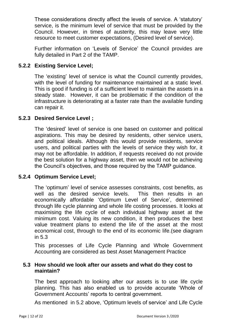These considerations directly affect the levels of service. A 'statutory' service, is the minimum level of service that must be provided by the Council. However, in times of austerity, this may leave very little resource to meet customer expectations, (Desired level of service).

Further information on 'Levels of Service' the Council provides are fully detailed in Part 2 of the TAMP.

## **5.2.2 Existing Service Level;**

The 'existing' level of service is what the Council currently provides, with the level of funding for maintenance maintained at a static level. This is good if funding is of a sufficient level to maintain the assets in a steady state. However, it can be problematic if the condition of the infrastructure is deteriorating at a faster rate than the available funding can repair it.

#### **5.2.3 Desired Service Level ;**

The 'desired' level of service is one based on customer and political aspirations. This may be desired by residents, other service users, and political ideals. Although this would provide residents, service users, and political parties with the levels of service they wish for, it may not be affordable. In addition, if requests received do not provide the best solution for a highway asset, then we would not be achieving the Council's objectives, and those required by the TAMP guidance.

#### **5.2.4 Optimum Service Level;**

The 'optimum' level of service assesses constraints, cost benefits, as well as the desired service levels. This then results in an economically affordable 'Optimum Level of Service', determined through life cycle planning and whole life costing processes. It looks at maximising the life cycle of each individual highway asset at the minimum cost. Valuing its new condition, it then produces the best value treatment plans to extend the life of the asset at the most economical cost, through to the end of its economic life.(see diagram in 5.3

This processes of Life Cycle Planning and Whole Government Accounting are considered as best Asset Management Practice

#### **5.3 How should we look after our assets and what do they cost to maintain?**

The best approach to looking after our assets is to use life cycle planning. This has also enabled us to provide accurate 'Whole of Government Accounts' reports to central government.

As mentioned in 5.2 above, 'Optimum levels of service' and Life Cycle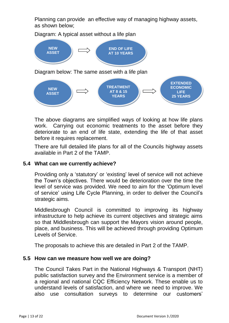Planning can provide an effective way of managing highway assets, as shown below;

Diagram: A typical asset without a life plan



The above diagrams are simplified ways of looking at how life plans work. Carrying out economic treatments to the asset before they deteriorate to an end of life state, extending the life of that asset before it requires replacement.

There are full detailed life plans for all of the Councils highway assets available in Part 2 of the TAMP.

#### **5.4 What can we currently achieve?**

Providing only a 'statutory' or 'existing' level of service will not achieve the Town's objectives. There would be deterioration over the time the level of service was provided. We need to aim for the 'Optimum level of service' using Life Cycle Planning, in order to deliver the Council's strategic aims.

Middlesbrough Council is committed to improving its highway infrastructure to help achieve its current objectives and strategic aims so that Middlesbrough can support the Mayors vision around people, place, and business. This will be achieved through providing Optimum Levels of Service.

The proposals to achieve this are detailed in Part 2 of the TAMP.

#### **5.5 How can we measure how well we are doing?**

The Council Takes Part in the National Highways & Transport (NHT) public satisfaction survey and the Environment service is a member of a regional and national CQC Efficiency Network. These enable us to understand levels of satisfaction, and where we need to improve. We also use consultation surveys to determine our customers'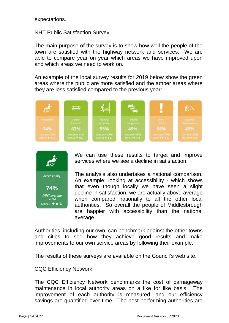expectations.

NHT Public Satisfaction Survey:

The main purpose of the survey is to show how well the people of the town are satisfied with the highway network and services. We are able to compare year on year which areas we have improved upon and which areas we need to work on.

An example of the local survey results for 2019 below show the green areas where the public are more satisfied and the amber areas where they are less satisfied compared to the previous year:





We can use these results to target and improve services where we see a decline in satisfaction.

The analysis also undertakes a national comparison. An example: looking at accessibility - which shows that even though locally we have seen a slight decline in satisfaction, we are actually above average when compared nationally to all the other local authorities. So overall the people of Middlesbrough are happier with accessibility than the national average.

Authorities, including our own, can benchmark against the other towns and cities to see how they achieve good results and make improvements to our own service areas by following their example.

The results of these surveys are available on the Council's web site.

CQC Efficiency Network:

The CQC Efficiency Network benchmarks the cost of carriageway maintenance in local authority areas on a like for like basis. The improvement of each authority is measured, and our efficiency savings are quantified over time. The best performing authorities are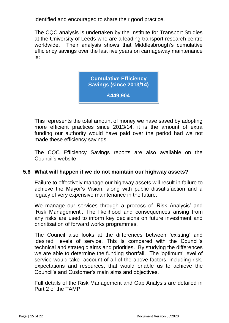identified and encouraged to share their good practice.

The CQC analysis is undertaken by the Institute for Transport Studies at the University of Leeds who are a leading transport research centre worldwide. Their analysis shows that Middlesbrough's cumulative efficiency savings over the last five years on carriageway maintenance is:

> **Cumulative Efficiency Savings (since 2013/14) £449,904**

This represents the total amount of money we have saved by adopting more efficient practices since 2013/14, it is the amount of extra funding our authority would have paid over the period had we not made these efficiency savings.

The CQC Efficiency Savings reports are also available on the Council's website.

#### **5.6 What will happen if we do not maintain our highway assets?**

Failure to effectively manage our highway assets will result in failure to achieve the Mayor's Vision, along with public dissatisfaction and a legacy of very expensive maintenance in the future.

We manage our services through a process of 'Risk Analysis' and 'Risk Management'. The likelihood and consequences arising from any risks are used to inform key decisions on future investment and prioritisation of forward works programmes.

The Council also looks at the differences between 'existing' and 'desired' levels of service. This is compared with the Council's technical and strategic aims and priorities. By studying the differences we are able to determine the funding shortfall. The 'optimum' level of service would take account of all of the above factors, including risk, expectations and resources, that would enable us to achieve the Council's and Customer's main aims and objectives.

Full details of the Risk Management and Gap Analysis are detailed in Part 2 of the TAMP.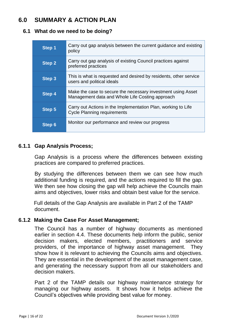# **6.0 SUMMARY & ACTION PLAN**

#### **6.1 What do we need to be doing?**

| Step 1        | Carry out gap analysis between the current guidance and existing<br>policy                                      |
|---------------|-----------------------------------------------------------------------------------------------------------------|
| <b>Step 2</b> | Carry out gap analysis of existing Council practices against<br>preferred practices                             |
| <b>Step 3</b> | This is what is requested and desired by residents, other service<br>users and political ideals                 |
| <b>Step 4</b> | Make the case to secure the necessary investment using Asset<br>Management data and Whole Life Costing approach |
| <b>Step 5</b> | Carry out Actions in the Implementation Plan, working to Life<br><b>Cycle Planning requirements</b>             |
| <b>Step 6</b> | Monitor our performance and review our progress                                                                 |

#### **6.1.1 Gap Analysis Process;**

Gap Analysis is a process where the differences between existing practices are compared to preferred practices.

By studying the differences between them we can see how much additional funding is required, and the actions required to fill the gap. We then see how closing the gap will help achieve the Councils main aims and objectives, lower risks and obtain best value for the service.

Full details of the Gap Analysis are available in Part 2 of the TAMP document.

#### **6.1.2 Making the Case For Asset Management;**

The Council has a number of highway documents as mentioned earlier in section 4.4. These documents help inform the public, senior decision makers, elected members, practitioners and service providers, of the importance of highway asset management. They show how it is relevant to achieving the Councils aims and objectives. They are essential in the development of the asset management case, and generating the necessary support from all our stakeholders and decision makers.

Part 2 of the TAMP details our highway maintenance strategy for managing our highway assets. It shows how it helps achieve the Council's objectives while providing best value for money.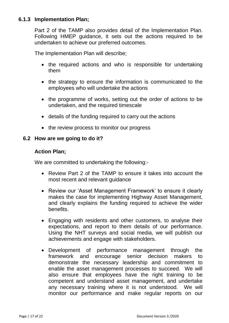#### **6.1.3 Implementation Plan;**

Part 2 of the TAMP also provides detail of the Implementation Plan. Following HMEP guidance, it sets out the actions required to be undertaken to achieve our preferred outcomes.

The Implementation Plan will describe;

- the required actions and who is responsible for undertaking them
- the strategy to ensure the information is communicated to the employees who will undertake the actions
- the programme of works, setting out the order of actions to be undertaken, and the required timescale
- details of the funding required to carry out the actions
- the review process to monitor our progress

#### **6.2 How are we going to do it?**

#### **Action Plan;**

We are committed to undertaking the following:-

- Review Part 2 of the TAMP to ensure it takes into account the most recent and relevant guidance
- Review our 'Asset Management Framework' to ensure it clearly makes the case for implementing Highway Asset Management, and clearly explains the funding required to achieve the wider benefits.
- Engaging with residents and other customers, to analyse their expectations, and report to them details of our performance. Using the NHT surveys and social media, we will publish our achievements and engage with stakeholders.
- Development of performance management through the framework and encourage senior decision makers to demonstrate the necessary leadership and commitment to enable the asset management processes to succeed. We will also ensure that employees have the right training to be competent and understand asset management, and undertake any necessary training where it is not understood. We will monitor our performance and make regular reports on our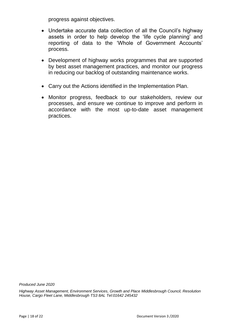progress against objectives.

- Undertake accurate data collection of all the Council's highway assets in order to help develop the 'life cycle planning' and reporting of data to the 'Whole of Government Accounts' process.
- Development of highway works programmes that are supported by best asset management practices, and monitor our progress in reducing our backlog of outstanding maintenance works.
- Carry out the Actions identified in the Implementation Plan.
- Monitor progress, feedback to our stakeholders, review our processes, and ensure we continue to improve and perform in accordance with the most up-to-date asset management practices.

*Produced June 2020*

*Highway Asset Management, Environment Services, Growth and Place Middlesbrough Council, Resolution House, Cargo Fleet Lane, Middlesbrough TS3 8AL [Tel:01642](tel:01642) 245432*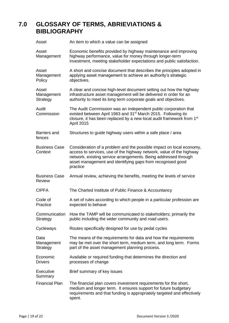## **7.0 GLOSSARY OF TERMS, ABRIEVIATIONS & BIBLIOGRAPHY**

| Asset                                 | An item to which a value can be assigned                                                                                                                                                                                                                                                  |
|---------------------------------------|-------------------------------------------------------------------------------------------------------------------------------------------------------------------------------------------------------------------------------------------------------------------------------------------|
| Asset<br>Management                   | Economic benefits provided by highway maintenance and improving<br>highway performance, value for money through longer-term<br>investment, meeting stakeholder expectations and public satisfaction.                                                                                      |
| Asset<br>Management<br>Policy         | A short and concise document that describes the principles adopted in<br>applying asset management to achieve an authority's strategic<br>objectives.                                                                                                                                     |
| Asset<br>Management<br>Strategy       | A clear and concise high-level document setting out how the highway<br>infrastructure asset management will be delivered in order for an<br>authority to meet its long term corporate goals and objectives.                                                                               |
| Audit<br>Commission                   | The Audit Commission was an independent public corporation that<br>existed between April 1983 and 31 <sup>st</sup> March 2015. Following its<br>closure, it has been replaced by a new local audit framework from 1 <sup>st</sup><br><b>April 2015</b>                                    |
| Barriers and<br>fences                | Structures to guide highway users within a safe place / area                                                                                                                                                                                                                              |
| <b>Business Case</b><br>Context       | Consideration of a problem and the possible impact on local economy,<br>access to services, use of the highway network, value of the highway<br>network, existing service arrangements. Being addressed through<br>asset management and identifying gaps from recognised good<br>practice |
| <b>Business Case</b><br><b>Review</b> | Annual review, achieving the benefits, meeting the levels of service                                                                                                                                                                                                                      |
| <b>CIPFA</b>                          | The Charted Institute of Public Finance & Accountancy                                                                                                                                                                                                                                     |
| Code of<br>Practice                   | A set of rules according to which people in a particular profession are<br>expected to behave                                                                                                                                                                                             |
| Communication<br>Strategy             | How the TAMP will be communicated to stakeholders; primarily the<br>public including the wider community and road users.                                                                                                                                                                  |
| Cycleways                             | Routes specifically designed for use by pedal cycles                                                                                                                                                                                                                                      |
| Data<br>Management<br>Strategy        | The means of the requirements for data and how the requirements<br>may be met over the short term, medium term, and long term. Forms<br>part of the asset management planning process.                                                                                                    |
| Economic<br><b>Drivers</b>            | Available or required funding that determines the direction and<br>processes of change                                                                                                                                                                                                    |
| Executive<br>Summary                  | Brief summary of key issues                                                                                                                                                                                                                                                               |
| <b>Financial Plan</b>                 | The financial plan covers investment requirements for the short,<br>medium and longer term. It ensures support for future budgetary<br>requirements and that funding is appropriately targeted and effectively<br>spent.                                                                  |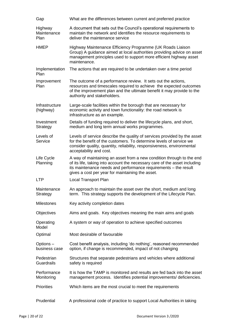| Gap                                   | What are the differences between current and preferred practice                                                                                                                                                                                                            |
|---------------------------------------|----------------------------------------------------------------------------------------------------------------------------------------------------------------------------------------------------------------------------------------------------------------------------|
| Highway<br>Maintenance<br><b>Plan</b> | A document that sets out the Council's operational requirements to<br>maintain the network and identifies the resource requirements to<br>deliver the maintenance service                                                                                                  |
| <b>HMEP</b>                           | Highway Maintenance Efficiency Programme (UK Roads Liaison<br>Group) A guidance aimed at local authorities providing advice on asset<br>management principles used to support more efficient highway asset<br>maintenance.                                                 |
| Implementation<br>Plan                | The actions that are required to be undertaken over a time period                                                                                                                                                                                                          |
| Improvement<br>Plan                   | The outcome of a performance review. It sets out the actions,<br>resources and timescales required to achieve the expected outcomes<br>of the improvement plan and the ultimate benefit it may provide to the<br>authority and stakeholders.                               |
| Infrastructure<br>(highway)           | Large-scale facilities within the borough that are necessary for<br>economic activity and town functionality: the road network is<br>infrastructure as an example.                                                                                                         |
| Investment<br>Strategy                | Details of funding required to deliver the lifecycle plans, and short,<br>medium and long term annual works programmes.                                                                                                                                                    |
| Levels of<br>Service                  | Levels of service describe the quality of services provided by the asset<br>for the benefit of the customers. To determine levels of service we<br>consider quality, quantity, reliability, responsiveness, environmental<br>acceptability and cost.                       |
| Life Cycle<br>Planning                | A way of maintaining an asset from a new condition through to the end<br>of its life, taking into account the necessary care of the asset including<br>its maintenance needs and performance requirements - the result<br>gives a cost per year for maintaining the asset. |
| <b>LTP</b>                            | <b>Local Transport Plan</b>                                                                                                                                                                                                                                                |
| Maintenance<br>Strategy               | An approach to maintain the asset over the short, medium and long<br>term. This strategy supports the development of the Lifecycle Plan.                                                                                                                                   |
| <b>Milestones</b>                     | Key activity completion dates                                                                                                                                                                                                                                              |
| Objectives                            | Aims and goals. Key objectives meaning the main aims and goals                                                                                                                                                                                                             |
| Operating<br>Model                    | A system or way of operation to achieve specified outcomes                                                                                                                                                                                                                 |
| Optimal                               | Most desirable of favourable                                                                                                                                                                                                                                               |
| Options-<br>business case             | Cost benefit analysis, including 'do nothing', reasoned recommended<br>option, if change is recommended, impact of not changing                                                                                                                                            |
| Pedestrian<br>Guardrails              | Structures that separate pedestrians and vehicles where additional<br>safety is required                                                                                                                                                                                   |
| Performance<br>Monitoring             | It is how the TAMP is monitored and results are fed back into the asset<br>management process. Identifies potential improvements/ deficiencies.                                                                                                                            |
| <b>Priorities</b>                     | Which items are the most crucial to meet the requirements                                                                                                                                                                                                                  |
| Prudential                            | A professional code of practice to support Local Authorities in taking                                                                                                                                                                                                     |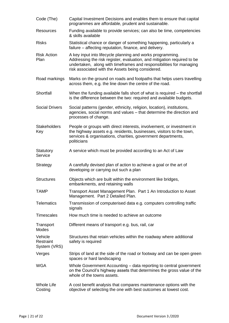| Code (The)                           | Capital Investment Decisions and enables them to ensure that capital<br>programmes are affordable, prudent and sustainable.                                                                                                                                       |
|--------------------------------------|-------------------------------------------------------------------------------------------------------------------------------------------------------------------------------------------------------------------------------------------------------------------|
| Resources                            | Funding available to provide services; can also be time, competencies<br>& skills available                                                                                                                                                                       |
| <b>Risks</b>                         | Statistical chance or danger of something happening, particularly a<br>failure – affecting reputation, finance, and delivery.                                                                                                                                     |
| <b>Risk Action</b><br>Plan           | A key input into lifecycle planning and works programming.<br>Addressing the risk register, evaluation, and mitigation required to be<br>undertaken, along with timeframes and responsibilities for managing<br>risk associated with the Assets being considered. |
| Road markings                        | Marks on the ground on roads and footpaths that helps users travelling<br>across them, e.g. the line down the centre of the road.                                                                                                                                 |
| Shortfall                            | When the funding available falls short of what is required – the shortfall<br>is the difference between the two: required and available budgets.                                                                                                                  |
| <b>Social Drivers</b>                | Social patterns (gender, ethnicity, religion, location), institutions,<br>agencies, social norms and values - that determine the direction and<br>processes of change.                                                                                            |
| <b>Stakeholders</b><br>Key           | People or groups with direct interests, involvement, or investment in<br>the highway assets e.g. residents, businesses, visitors to the town,<br>services & organisations, charities, government departments,<br>politicians                                      |
| Statutory<br>Service                 | A service which must be provided according to an Act of Law                                                                                                                                                                                                       |
| Strategy                             | A carefully devised plan of action to achieve a goal or the art of<br>developing or carrying out such a plan                                                                                                                                                      |
| <b>Structures</b>                    | Objects which are built within the environment like bridges,<br>embankments, and retaining walls                                                                                                                                                                  |
| <b>TAMP</b>                          | Transport Asset Management Plan. Part 1 An Introduction to Asset<br>Management. Part 2 Detailed Plan.                                                                                                                                                             |
| <b>Telematics</b>                    | Transmission of computerised data e.g. computers controlling traffic<br>signals                                                                                                                                                                                   |
| <b>Timescales</b>                    | How much time is needed to achieve an outcome                                                                                                                                                                                                                     |
| Transport<br>Modes                   | Different means of transport e.g. bus, rail, car                                                                                                                                                                                                                  |
| Vehicle<br>Restraint<br>System (VRS) | Structures that retain vehicles within the roadway where additional<br>safety is required                                                                                                                                                                         |
| Verges                               | Strips of land at the side of the road or footway and can be open green<br>spaces or hard landscaping                                                                                                                                                             |
| <b>WGA</b>                           | Whole Government Accounting – data reporting to central government<br>on the Council's highway assets that determines the gross value of the<br>whole of the towns assets.                                                                                        |
| <b>Whole Life</b><br>Costing         | A cost benefit analysis that compares maintenance options with the<br>objective of selecting the one with best outcomes at lowest cost.                                                                                                                           |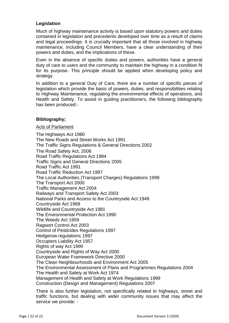#### **Legislation**

Much of highway maintenance activity is based upon statutory powers and duties contained in legislation and precedents developed over time as a result of claims and legal proceedings. It is crucially important that all those involved in highway maintenance, including Council Members, have a clear understanding of their powers and duties, and the implications of these.

Even in the absence of specific duties and powers, authorities have a general duty of care to users and the community to maintain the highway in a condition fit for its purpose. This principle should be applied when developing policy and strategy.

In addition to a general Duty of Care, there are a number of specific pieces of legislation which provide the basis of powers, duties, and responsibilities relating to Highway Maintenance, regulating the environmental effects of operations, and Health and Safety. To assist in guiding practitioners, the following bibliography has been produced:-

#### **Bibliography;**

#### Acts of Parliament

The Highways Act 1980 The New Roads and Street Works Act 1991 The Traffic Signs Regulations & General Directions 2002 The Road Safety Act, 2006 Road Traffic Regulations Act 1984 Traffic Signs and General Directions 2005 Road Traffic Act 1991 Road Traffic Reduction Act 1997 The Local Authorities (Transport Charges) Regulations 1998 The Transport Act 2000 Traffic Management Act 2004 Railways and Transport Safety Act 2003 National Parks and Access to the Countryside Act 1949 Countryside Act 1968 Wildlife and Countryside Act 1981 The Environmental Protection Act 1990 The Weeds Act 1959 Ragwort Control Act 2003 Control of Pesticides Regulations 1997 Hedgerow regulations 1997 Occupiers Liability Act 1957 Rights of way Act 1990 Countryside and Rights of Way Act 2000 European Water Framework Directive 2000 The Clean Neighbourhoods and Environment Act 2005 The Environmental Assessment of Plans and Programmes Regulations 2004 The Health and Safety at Work Act 1974 Management of Health and Safety at Work Regulations 1999 Construction (Design and Management) Regulations 2007

There is also further legislation, not specifically related to highways, street and traffic functions, but dealing with wider community issues that may affect the service we provide: -